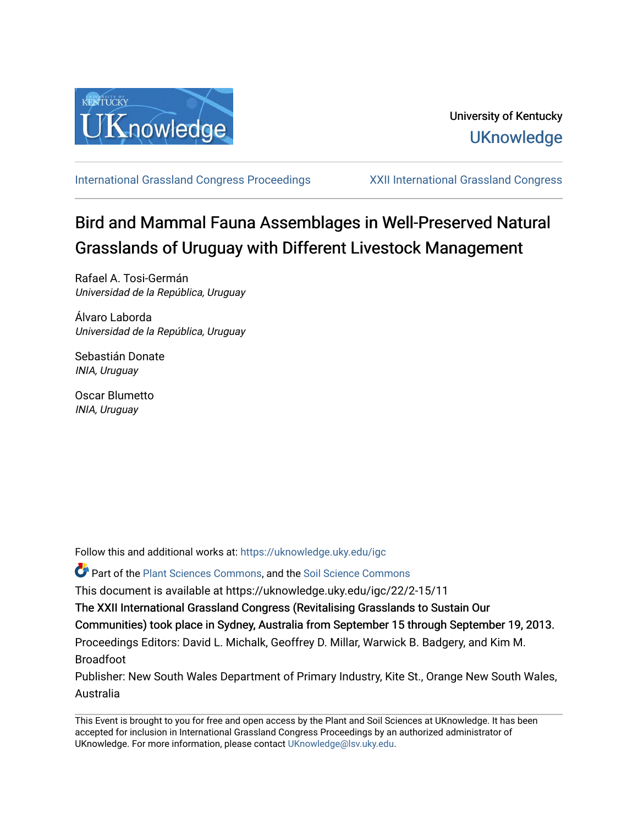

[International Grassland Congress Proceedings](https://uknowledge.uky.edu/igc) [XXII International Grassland Congress](https://uknowledge.uky.edu/igc/22) 

# Bird and Mammal Fauna Assemblages in Well-Preserved Natural Grasslands of Uruguay with Different Livestock Management

Rafael A. Tosi-Germán Universidad de la República, Uruguay

Álvaro Laborda Universidad de la República, Uruguay

Sebastián Donate INIA, Uruguay

Oscar Blumetto INIA, Uruguay

Follow this and additional works at: [https://uknowledge.uky.edu/igc](https://uknowledge.uky.edu/igc?utm_source=uknowledge.uky.edu%2Figc%2F22%2F2-15%2F11&utm_medium=PDF&utm_campaign=PDFCoverPages) 

Part of the [Plant Sciences Commons](http://network.bepress.com/hgg/discipline/102?utm_source=uknowledge.uky.edu%2Figc%2F22%2F2-15%2F11&utm_medium=PDF&utm_campaign=PDFCoverPages), and the [Soil Science Commons](http://network.bepress.com/hgg/discipline/163?utm_source=uknowledge.uky.edu%2Figc%2F22%2F2-15%2F11&utm_medium=PDF&utm_campaign=PDFCoverPages) 

This document is available at https://uknowledge.uky.edu/igc/22/2-15/11

The XXII International Grassland Congress (Revitalising Grasslands to Sustain Our

Communities) took place in Sydney, Australia from September 15 through September 19, 2013.

Proceedings Editors: David L. Michalk, Geoffrey D. Millar, Warwick B. Badgery, and Kim M. Broadfoot

Publisher: New South Wales Department of Primary Industry, Kite St., Orange New South Wales, Australia

This Event is brought to you for free and open access by the Plant and Soil Sciences at UKnowledge. It has been accepted for inclusion in International Grassland Congress Proceedings by an authorized administrator of UKnowledge. For more information, please contact [UKnowledge@lsv.uky.edu](mailto:UKnowledge@lsv.uky.edu).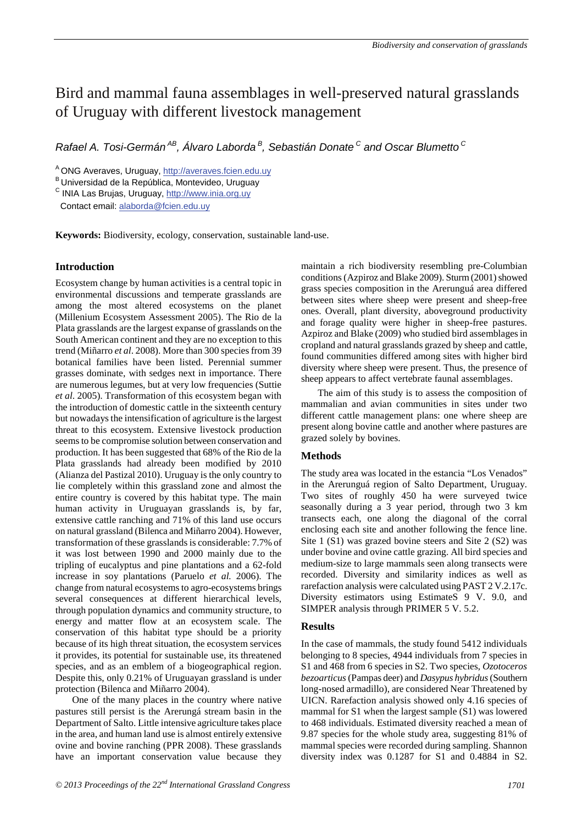# Bird and mammal fauna assemblages in well-preserved natural grasslands of Uruguay with different livestock management

*Rafael A. Tosi-Germán AB, Álvaro Laborda B, Sebastián Donate C and Oscar Blumetto C*

<sup>A</sup> ONG Averaves, Uruguay, http://averaves.fcien.edu.uy<br><sup>B</sup> Universidad de la República, Montevideo, Uruguay

<sup>C</sup> INIA Las Brujas, Uruguay, http://www.inia.org.uy

Contact email: alaborda@fcien.edu.uy

**Keywords:** Biodiversity, ecology, conservation, sustainable land-use.

## **Introduction**

Ecosystem change by human activities is a central topic in environmental discussions and temperate grasslands are among the most altered ecosystems on the planet (Millenium Ecosystem Assessment 2005). The Rio de la Plata grasslands are the largest expanse of grasslands on the South American continent and they are no exception to this trend (Miñarro *et al*. 2008). More than 300 species from 39 botanical families have been listed. Perennial summer grasses dominate, with sedges next in importance. There are numerous legumes, but at very low frequencies (Suttie *et al*. 2005). Transformation of this ecosystem began with the introduction of domestic cattle in the sixteenth century but nowadays the intensification of agriculture is the largest threat to this ecosystem. Extensive livestock production seems to be compromise solution between conservation and production. It has been suggested that 68% of the Rio de la Plata grasslands had already been modified by 2010 (Alianza del Pastizal 2010). Uruguay is the only country to lie completely within this grassland zone and almost the entire country is covered by this habitat type. The main human activity in Uruguayan grasslands is, by far, extensive cattle ranching and 71% of this land use occurs on natural grassland (Bilenca and Miñarro 2004). However, transformation of these grasslands is considerable: 7.7% of it was lost between 1990 and 2000 mainly due to the tripling of eucalyptus and pine plantations and a 62-fold increase in soy plantations (Paruelo *et al.* 2006). The change from natural ecosystems to agro-ecosystems brings several consequences at different hierarchical levels, through population dynamics and community structure, to energy and matter flow at an ecosystem scale. The conservation of this habitat type should be a priority because of its high threat situation, the ecosystem services it provides, its potential for sustainable use, its threatened species, and as an emblem of a biogeographical region. Despite this, only 0.21% of Uruguayan grassland is under protection (Bilenca and Miñarro 2004).

One of the many places in the country where native pastures still persist is the Arerungá stream basin in the Department of Salto. Little intensive agriculture takes place in the area, and human land use is almost entirely extensive ovine and bovine ranching (PPR 2008). These grasslands have an important conservation value because they maintain a rich biodiversity resembling pre-Columbian conditions (Azpiroz and Blake 2009). Sturm (2001) showed grass species composition in the Arerunguá area differed between sites where sheep were present and sheep-free ones. Overall, plant diversity, aboveground productivity and forage quality were higher in sheep-free pastures. Azpiroz and Blake (2009) who studied bird assemblages in cropland and natural grasslands grazed by sheep and cattle, found communities differed among sites with higher bird diversity where sheep were present. Thus, the presence of sheep appears to affect vertebrate faunal assemblages.

The aim of this study is to assess the composition of mammalian and avian communities in sites under two different cattle management plans: one where sheep are present along bovine cattle and another where pastures are grazed solely by bovines.

#### **Methods**

The study area was located in the estancia "Los Venados" in the Arerunguá region of Salto Department, Uruguay. Two sites of roughly 450 ha were surveyed twice seasonally during a 3 year period, through two 3 km transects each, one along the diagonal of the corral enclosing each site and another following the fence line. Site 1 (S1) was grazed bovine steers and Site 2 (S2) was under bovine and ovine cattle grazing. All bird species and medium-size to large mammals seen along transects were recorded. Diversity and similarity indices as well as rarefaction analysis were calculated using PAST 2 V.2.17c. Diversity estimators using EstimateS 9 V. 9.0, and SIMPER analysis through PRIMER 5 V. 5.2.

#### **Results**

In the case of mammals, the study found 5412 individuals belonging to 8 species, 4944 individuals from 7 species in S1 and 468 from 6 species in S2. Two species, *Ozotoceros bezoarticus*(Pampas deer) and *Dasypus hybridus* (Southern long-nosed armadillo), are considered Near Threatened by UICN. Rarefaction analysis showed only 4.16 species of mammal for S1 when the largest sample (S1) was lowered to 468 individuals. Estimated diversity reached a mean of 9.87 species for the whole study area, suggesting 81% of mammal species were recorded during sampling. Shannon diversity index was 0.1287 for S1 and 0.4884 in S2.